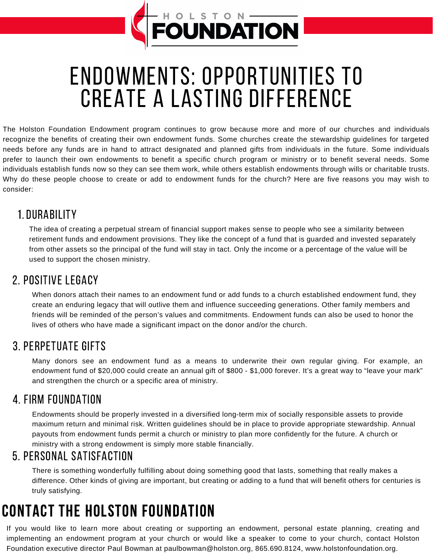## ENDOWMENTS: OPPORTUNITIES TO CREATE A LASTING DIFFERENCE

FOUNDATION

The Holston Foundation Endowment program continues to grow because more and more of our churches and individuals recognize the benefits of creating their own endowment funds. Some churches create the stewardship guidelines for targeted needs before any funds are in hand to attract designated and planned gifts from individuals in the future. Some individuals prefer to launch their own endowments to benefit a specific church program or ministry or to benefit several needs. Some individuals establish funds now so they can see them work, while others establish endowments through wills or charitable trusts. Why do these people choose to create or add to endowment funds for the church? Here are five reasons you may wish to consider:

#### 1.DURABILITY

The idea of creating a perpetual stream of financial support makes sense to people who see a similarity between retirement funds and endowment provisions. They like the concept of a fund that is guarded and invested separately from other assets so the principal of the fund will stay in tact. Only the income or a percentage of the value will be used to support the chosen ministry.

#### 2. POSITIVE LEGACY

When donors attach their names to an endowment fund or add funds to a church established endowment fund, they create an enduring legacy that will outlive them and influence succeeding generations. Other family members and friends will be reminded of the person's values and commitments. Endowment funds can also be used to honor the lives of others who have made a significant impact on the donor and/or the church.

#### 3. PERPETUATE GIFTS

Many donors see an endowment fund as a means to underwrite their own regular giving. For example, an endowment fund of \$20,000 could create an annual gift of \$800 - \$1,000 forever. It's a great way to "leave your mark" and strengthen the church or a specific area of ministry.

#### 4. FIRM FOUNDATION

Endowments should be properly invested in a diversified long-term mix of socially responsible assets to provide maximum return and minimal risk. Written guidelines should be in place to provide appropriate stewardship. Annual payouts from endowment funds permit a church or ministry to plan more confidently for the future. A church or ministry with a strong endowment is simply more stable financially.

#### 5. PERSONAL SATISFACTION

There is something wonderfully fulfilling about doing something good that lasts, something that really makes a difference. Other kinds of giving are important, but creating or adding to a fund that will benefit others for centuries is truly satisfying.

## CONTACT THE HOLSTON FOUNDATION

If you would like to learn more about creating or supporting an endowment, personal estate planning, creating and implementing an endowment program at your church or would like a speaker to come to your church, contact Holston Foundation executive director Paul Bowman at paulbowman@holston.org, 865.690.8124, www.holstonfoundation.org.